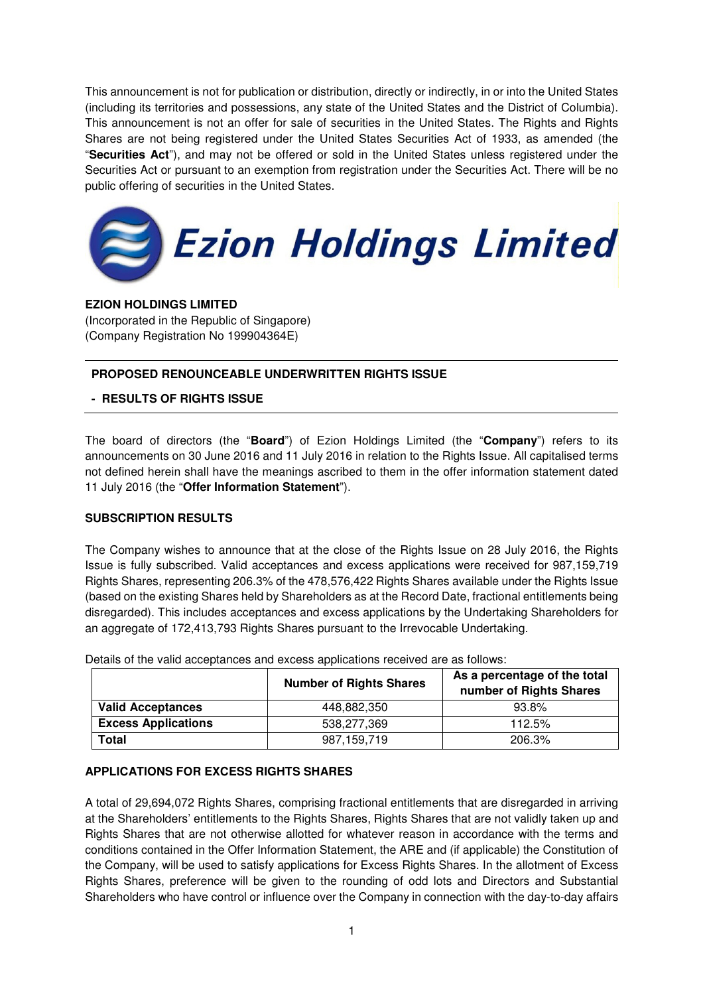This announcement is not for publication or distribution, directly or indirectly, in or into the United States (including its territories and possessions, any state of the United States and the District of Columbia). This announcement is not an offer for sale of securities in the United States. The Rights and Rights Shares are not being registered under the United States Securities Act of 1933, as amended (the "**Securities Act**"), and may not be offered or sold in the United States unless registered under the Securities Act or pursuant to an exemption from registration under the Securities Act. There will be no public offering of securities in the United States.



# **EZION HOLDINGS LIMITED**

(Incorporated in the Republic of Singapore) (Company Registration No 199904364E)

# **PROPOSED RENOUNCEABLE UNDERWRITTEN RIGHTS ISSUE**

# **- RESULTS OF RIGHTS ISSUE**

The board of directors (the "**Board**") of Ezion Holdings Limited (the "**Company**") refers to its announcements on 30 June 2016 and 11 July 2016 in relation to the Rights Issue. All capitalised terms not defined herein shall have the meanings ascribed to them in the offer information statement dated 11 July 2016 (the "**Offer Information Statement**").

### **SUBSCRIPTION RESULTS**

The Company wishes to announce that at the close of the Rights Issue on 28 July 2016, the Rights Issue is fully subscribed. Valid acceptances and excess applications were received for 987,159,719 Rights Shares, representing 206.3% of the 478,576,422 Rights Shares available under the Rights Issue (based on the existing Shares held by Shareholders as at the Record Date, fractional entitlements being disregarded). This includes acceptances and excess applications by the Undertaking Shareholders for an aggregate of 172,413,793 Rights Shares pursuant to the Irrevocable Undertaking.

|                            | <b>Number of Rights Shares</b> | As a percentage of the total<br>number of Rights Shares |
|----------------------------|--------------------------------|---------------------------------------------------------|
| <b>Valid Acceptances</b>   | 448,882,350                    | 93.8%                                                   |
| <b>Excess Applications</b> | 538.277.369                    | 112.5%                                                  |
| Total                      | 987.159.719                    | 206.3%                                                  |

Details of the valid acceptances and excess applications received are as follows:

### **APPLICATIONS FOR EXCESS RIGHTS SHARES**

A total of 29,694,072 Rights Shares, comprising fractional entitlements that are disregarded in arriving at the Shareholders' entitlements to the Rights Shares, Rights Shares that are not validly taken up and Rights Shares that are not otherwise allotted for whatever reason in accordance with the terms and conditions contained in the Offer Information Statement, the ARE and (if applicable) the Constitution of the Company, will be used to satisfy applications for Excess Rights Shares. In the allotment of Excess Rights Shares, preference will be given to the rounding of odd lots and Directors and Substantial Shareholders who have control or influence over the Company in connection with the day-to-day affairs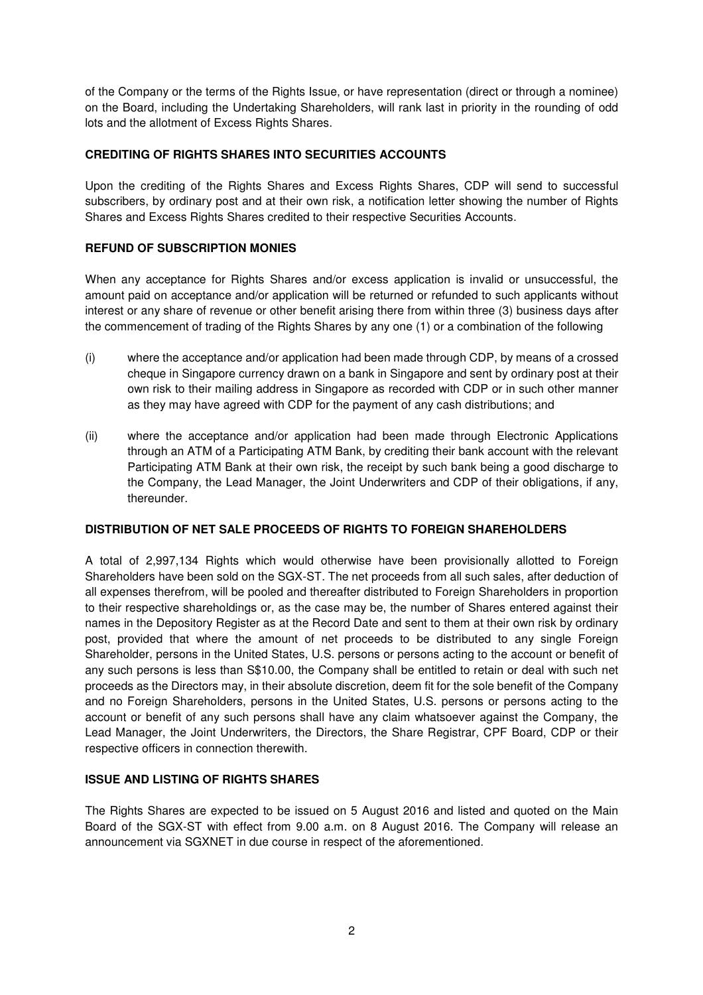of the Company or the terms of the Rights Issue, or have representation (direct or through a nominee) on the Board, including the Undertaking Shareholders, will rank last in priority in the rounding of odd lots and the allotment of Excess Rights Shares.

# **CREDITING OF RIGHTS SHARES INTO SECURITIES ACCOUNTS**

Upon the crediting of the Rights Shares and Excess Rights Shares, CDP will send to successful subscribers, by ordinary post and at their own risk, a notification letter showing the number of Rights Shares and Excess Rights Shares credited to their respective Securities Accounts.

# **REFUND OF SUBSCRIPTION MONIES**

When any acceptance for Rights Shares and/or excess application is invalid or unsuccessful, the amount paid on acceptance and/or application will be returned or refunded to such applicants without interest or any share of revenue or other benefit arising there from within three (3) business days after the commencement of trading of the Rights Shares by any one (1) or a combination of the following

- (i) where the acceptance and/or application had been made through CDP, by means of a crossed cheque in Singapore currency drawn on a bank in Singapore and sent by ordinary post at their own risk to their mailing address in Singapore as recorded with CDP or in such other manner as they may have agreed with CDP for the payment of any cash distributions; and
- (ii) where the acceptance and/or application had been made through Electronic Applications through an ATM of a Participating ATM Bank, by crediting their bank account with the relevant Participating ATM Bank at their own risk, the receipt by such bank being a good discharge to the Company, the Lead Manager, the Joint Underwriters and CDP of their obligations, if any, thereunder.

### **DISTRIBUTION OF NET SALE PROCEEDS OF RIGHTS TO FOREIGN SHAREHOLDERS**

A total of 2,997,134 Rights which would otherwise have been provisionally allotted to Foreign Shareholders have been sold on the SGX-ST. The net proceeds from all such sales, after deduction of all expenses therefrom, will be pooled and thereafter distributed to Foreign Shareholders in proportion to their respective shareholdings or, as the case may be, the number of Shares entered against their names in the Depository Register as at the Record Date and sent to them at their own risk by ordinary post, provided that where the amount of net proceeds to be distributed to any single Foreign Shareholder, persons in the United States, U.S. persons or persons acting to the account or benefit of any such persons is less than S\$10.00, the Company shall be entitled to retain or deal with such net proceeds as the Directors may, in their absolute discretion, deem fit for the sole benefit of the Company and no Foreign Shareholders, persons in the United States, U.S. persons or persons acting to the account or benefit of any such persons shall have any claim whatsoever against the Company, the Lead Manager, the Joint Underwriters, the Directors, the Share Registrar, CPF Board, CDP or their respective officers in connection therewith.

### **ISSUE AND LISTING OF RIGHTS SHARES**

The Rights Shares are expected to be issued on 5 August 2016 and listed and quoted on the Main Board of the SGX-ST with effect from 9.00 a.m. on 8 August 2016. The Company will release an announcement via SGXNET in due course in respect of the aforementioned.